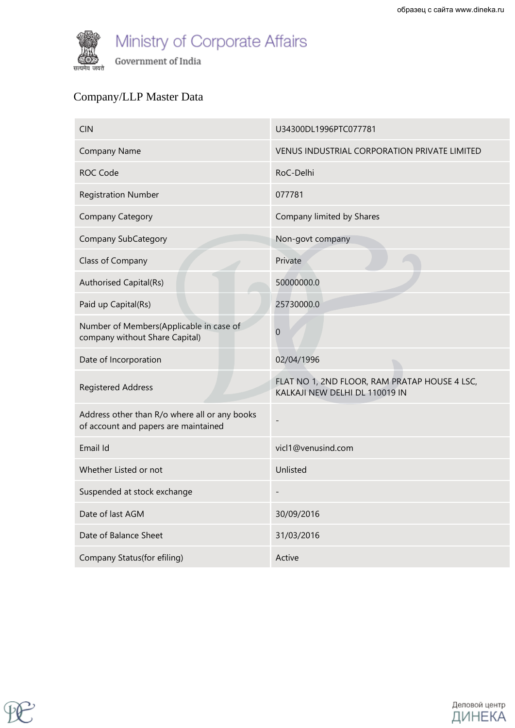

### Company/LLP Master Data

| <b>CIN</b>                                                                            | U34300DL1996PTC077781                                                           |
|---------------------------------------------------------------------------------------|---------------------------------------------------------------------------------|
| <b>Company Name</b>                                                                   | VENUS INDUSTRIAL CORPORATION PRIVATE LIMITED                                    |
| <b>ROC Code</b>                                                                       | RoC-Delhi                                                                       |
| <b>Registration Number</b>                                                            | 077781                                                                          |
| <b>Company Category</b>                                                               | Company limited by Shares                                                       |
| <b>Company SubCategory</b>                                                            | Non-govt company                                                                |
| Class of Company                                                                      | Private                                                                         |
| Authorised Capital(Rs)                                                                | 50000000.0                                                                      |
| Paid up Capital(Rs)                                                                   | 25730000.0                                                                      |
| Number of Members(Applicable in case of<br>company without Share Capital)             | $\boldsymbol{0}$                                                                |
| Date of Incorporation                                                                 | 02/04/1996                                                                      |
| <b>Registered Address</b>                                                             | FLAT NO 1, 2ND FLOOR, RAM PRATAP HOUSE 4 LSC,<br>KALKAJI NEW DELHI DL 110019 IN |
| Address other than R/o where all or any books<br>of account and papers are maintained |                                                                                 |
| Email Id                                                                              | vicl1@venusind.com                                                              |
| Whether Listed or not                                                                 | Unlisted                                                                        |
| Suspended at stock exchange                                                           | $\overline{\phantom{0}}$                                                        |
| Date of last AGM                                                                      | 30/09/2016                                                                      |
| Date of Balance Sheet                                                                 | 31/03/2016                                                                      |
| Company Status(for efiling)                                                           | Active                                                                          |



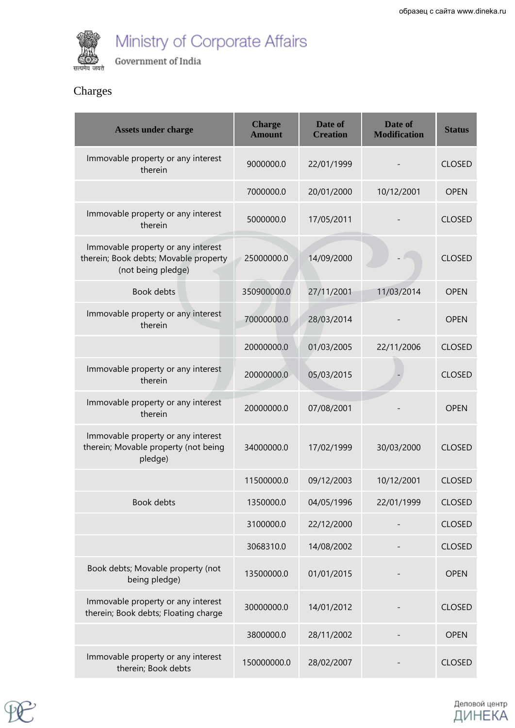

# Ministry of Corporate Affairs

Government of India

#### Charges

| <b>Assets under charge</b>                                                                        | <b>Charge</b><br><b>Amount</b> | Date of<br><b>Creation</b> | Date of<br><b>Modification</b> | <b>Status</b> |
|---------------------------------------------------------------------------------------------------|--------------------------------|----------------------------|--------------------------------|---------------|
| Immovable property or any interest<br>therein                                                     | 9000000.0                      | 22/01/1999                 |                                | <b>CLOSED</b> |
|                                                                                                   | 7000000.0                      | 20/01/2000                 | 10/12/2001                     | <b>OPEN</b>   |
| Immovable property or any interest<br>therein                                                     | 5000000.0                      | 17/05/2011                 |                                | <b>CLOSED</b> |
| Immovable property or any interest<br>therein; Book debts; Movable property<br>(not being pledge) | 25000000.0                     | 14/09/2000                 |                                | <b>CLOSED</b> |
| <b>Book debts</b>                                                                                 | 350900000.0                    | 27/11/2001                 | 11/03/2014                     | <b>OPEN</b>   |
| Immovable property or any interest<br>therein                                                     | 70000000.0                     | 28/03/2014                 |                                | <b>OPEN</b>   |
|                                                                                                   | 20000000.0                     | 01/03/2005                 | 22/11/2006                     | <b>CLOSED</b> |
| Immovable property or any interest<br>therein                                                     | 20000000.0                     | 05/03/2015                 |                                | <b>CLOSED</b> |
| Immovable property or any interest<br>therein                                                     | 20000000.0                     | 07/08/2001                 |                                | <b>OPEN</b>   |
| Immovable property or any interest<br>therein; Movable property (not being<br>pledge)             | 34000000.0                     | 17/02/1999                 | 30/03/2000                     | <b>CLOSED</b> |
|                                                                                                   | 11500000.0                     | 09/12/2003                 | 10/12/2001                     | CLOSED        |
| Book debts                                                                                        | 1350000.0                      | 04/05/1996                 | 22/01/1999                     | <b>CLOSED</b> |
|                                                                                                   | 3100000.0                      | 22/12/2000                 |                                | <b>CLOSED</b> |
|                                                                                                   | 3068310.0                      | 14/08/2002                 |                                | <b>CLOSED</b> |
| Book debts; Movable property (not<br>being pledge)                                                | 13500000.0                     | 01/01/2015                 |                                | <b>OPEN</b>   |
| Immovable property or any interest<br>therein; Book debts; Floating charge                        | 30000000.0                     | 14/01/2012                 |                                | <b>CLOSED</b> |
|                                                                                                   | 3800000.0                      | 28/11/2002                 |                                | <b>OPEN</b>   |
| Immovable property or any interest<br>therein; Book debts                                         | 150000000.0                    | 28/02/2007                 |                                | <b>CLOSED</b> |